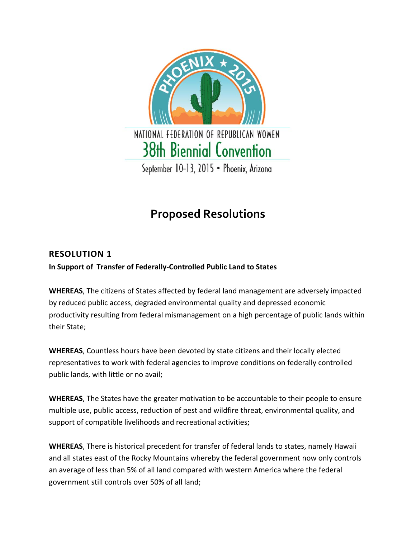

# **Proposed Resolutions**

# **RESOLUTION 1**

**In Support of Transfer of Federally‐Controlled Public Land to States**

**WHEREAS**, The citizens of States affected by federal land management are adversely impacted by reduced public access, degraded environmental quality and depressed economic productivity resulting from federal mismanagement on a high percentage of public lands within their State;

**WHEREAS**, Countless hours have been devoted by state citizens and their locally elected representatives to work with federal agencies to improve conditions on federally controlled public lands, with little or no avail;

**WHEREAS**, The States have the greater motivation to be accountable to their people to ensure multiple use, public access, reduction of pest and wildfire threat, environmental quality, and support of compatible livelihoods and recreational activities;

**WHEREAS**, There is historical precedent for transfer of federal lands to states, namely Hawaii and all states east of the Rocky Mountains whereby the federal government now only controls an average of less than 5% of all land compared with western America where the federal government still controls over 50% of all land;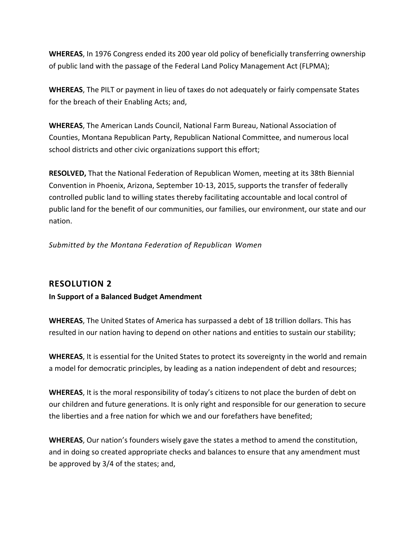**WHEREAS**, In 1976 Congress ended its 200 year old policy of beneficially transferring ownership of public land with the passage of the Federal Land Policy Management Act (FLPMA);

**WHEREAS**, The PILT or payment in lieu of taxes do not adequately or fairly compensate States for the breach of their Enabling Acts; and,

**WHEREAS**, The American Lands Council, National Farm Bureau, National Association of Counties, Montana Republican Party, Republican National Committee, and numerous local school districts and other civic organizations support this effort;

**RESOLVED,** That the National Federation of Republican Women, meeting at its 38th Biennial Convention in Phoenix, Arizona, September 10‐13, 2015, supports the transfer of federally controlled public land to willing states thereby facilitating accountable and local control of public land for the benefit of our communities, our families, our environment, our state and our nation.

*Submitted by the Montana Federation of Republican Women*

# **RESOLUTION 2**

## **In Support of a Balanced Budget Amendment**

**WHEREAS**, The United States of America has surpassed a debt of 18 trillion dollars. This has resulted in our nation having to depend on other nations and entities to sustain our stability;

**WHEREAS**, It is essential for the United States to protect its sovereignty in the world and remain a model for democratic principles, by leading as a nation independent of debt and resources;

**WHEREAS**, It is the moral responsibility of today's citizens to not place the burden of debt on our children and future generations. It is only right and responsible for our generation to secure the liberties and a free nation for which we and our forefathers have benefited;

**WHEREAS**, Our nation's founders wisely gave the states a method to amend the constitution, and in doing so created appropriate checks and balances to ensure that any amendment must be approved by 3/4 of the states; and,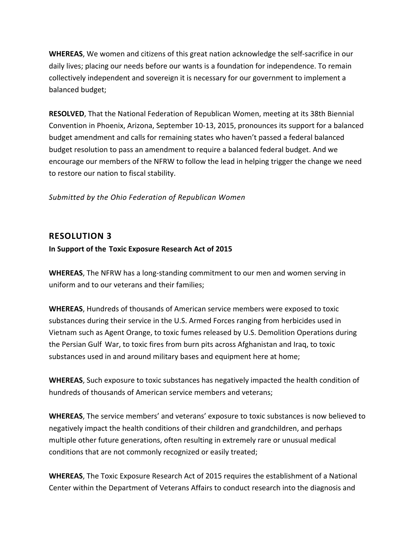**WHEREAS**, We women and citizens of this great nation acknowledge the self‐sacrifice in our daily lives; placing our needs before our wants is a foundation for independence. To remain collectively independent and sovereign it is necessary for our government to implement a balanced budget;

**RESOLVED**, That the National Federation of Republican Women, meeting at its 38th Biennial Convention in Phoenix, Arizona, September 10‐13, 2015, pronounces its support for a balanced budget amendment and calls for remaining states who haven't passed a federal balanced budget resolution to pass an amendment to require a balanced federal budget. And we encourage our members of the NFRW to follow the lead in helping trigger the change we need to restore our nation to fiscal stability.

#### *Submitted by the Ohio Federation of Republican Women*

## **RESOLUTION 3**

#### **In Support of the Toxic Exposure Research Act of 2015**

**WHEREAS**, The NFRW has a long‐standing commitment to our men and women serving in uniform and to our veterans and their families;

**WHEREAS**, Hundreds of thousands of American service members were exposed to toxic substances during their service in the U.S. Armed Forces ranging from herbicides used in Vietnam such as Agent Orange, to toxic fumes released by U.S. Demolition Operations during the Persian Gulf War, to toxic fires from burn pits across Afghanistan and Iraq, to toxic substances used in and around military bases and equipment here at home;

**WHEREAS**, Such exposure to toxic substances has negatively impacted the health condition of hundreds of thousands of American service members and veterans;

**WHEREAS**, The service members' and veterans' exposure to toxic substances is now believed to negatively impact the health conditions of their children and grandchildren, and perhaps multiple other future generations, often resulting in extremely rare or unusual medical conditions that are not commonly recognized or easily treated;

**WHEREAS**, The Toxic Exposure Research Act of 2015 requires the establishment of a National Center within the Department of Veterans Affairs to conduct research into the diagnosis and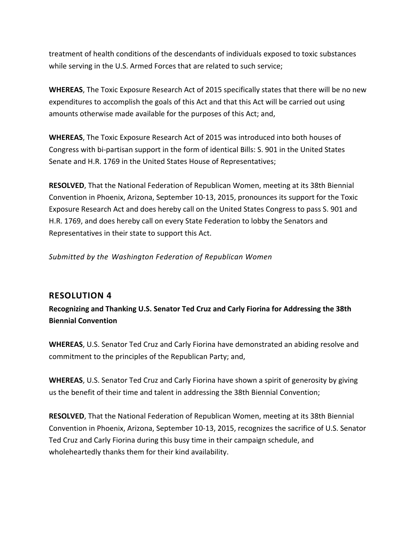treatment of health conditions of the descendants of individuals exposed to toxic substances while serving in the U.S. Armed Forces that are related to such service;

**WHEREAS**, The Toxic Exposure Research Act of 2015 specifically states that there will be no new expenditures to accomplish the goals of this Act and that this Act will be carried out using amounts otherwise made available for the purposes of this Act; and,

**WHEREAS**, The Toxic Exposure Research Act of 2015 was introduced into both houses of Congress with bi‐partisan support in the form of identical Bills: S. 901 in the United States Senate and H.R. 1769 in the United States House of Representatives;

**RESOLVED**, That the National Federation of Republican Women, meeting at its 38th Biennial Convention in Phoenix, Arizona, September 10‐13, 2015, pronounces its support for the Toxic Exposure Research Act and does hereby call on the United States Congress to pass S. 901 and H.R. 1769, and does hereby call on every State Federation to lobby the Senators and Representatives in their state to support this Act.

*Submitted by the Washington Federation of Republican Women*

# **RESOLUTION 4**

**Recognizing and Thanking U.S. Senator Ted Cruz and Carly Fiorina for Addressing the 38th Biennial Convention**

**WHEREAS**, U.S. Senator Ted Cruz and Carly Fiorina have demonstrated an abiding resolve and commitment to the principles of the Republican Party; and,

**WHEREAS**, U.S. Senator Ted Cruz and Carly Fiorina have shown a spirit of generosity by giving us the benefit of their time and talent in addressing the 38th Biennial Convention;

**RESOLVED**, That the National Federation of Republican Women, meeting at its 38th Biennial Convention in Phoenix, Arizona, September 10‐13, 2015, recognizes the sacrifice of U.S. Senator Ted Cruz and Carly Fiorina during this busy time in their campaign schedule, and wholeheartedly thanks them for their kind availability.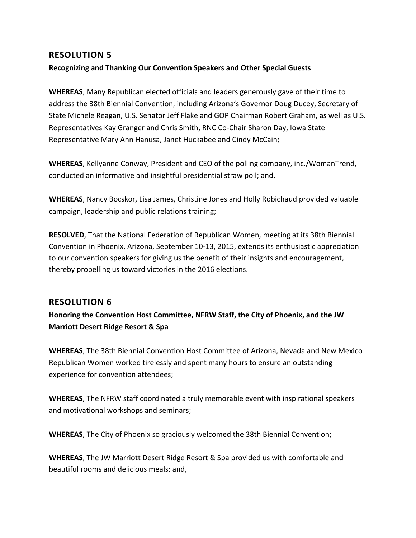## **RESOLUTION 5**

## **Recognizing and Thanking Our Convention Speakers and Other Special Guests**

**WHEREAS**, Many Republican elected officials and leaders generously gave of their time to address the 38th Biennial Convention, including Arizona's Governor Doug Ducey, Secretary of State Michele Reagan, U.S. Senator Jeff Flake and GOP Chairman Robert Graham, as well as U.S. Representatives Kay Granger and Chris Smith, RNC Co‐Chair Sharon Day, Iowa State Representative Mary Ann Hanusa, Janet Huckabee and Cindy McCain;

**WHEREAS**, Kellyanne Conway, President and CEO of the polling company, inc./WomanTrend, conducted an informative and insightful presidential straw poll; and,

**WHEREAS**, Nancy Bocskor, Lisa James, Christine Jones and Holly Robichaud provided valuable campaign, leadership and public relations training;

**RESOLVED**, That the National Federation of Republican Women, meeting at its 38th Biennial Convention in Phoenix, Arizona, September 10‐13, 2015, extends its enthusiastic appreciation to our convention speakers for giving us the benefit of their insights and encouragement, thereby propelling us toward victories in the 2016 elections.

## **RESOLUTION 6**

**Honoring the Convention Host Committee, NFRW Staff, the City of Phoenix, and the JW Marriott Desert Ridge Resort & Spa**

**WHEREAS**, The 38th Biennial Convention Host Committee of Arizona, Nevada and New Mexico Republican Women worked tirelessly and spent many hours to ensure an outstanding experience for convention attendees;

**WHEREAS**, The NFRW staff coordinated a truly memorable event with inspirational speakers and motivational workshops and seminars;

**WHEREAS**, The City of Phoenix so graciously welcomed the 38th Biennial Convention;

**WHEREAS**, The JW Marriott Desert Ridge Resort & Spa provided us with comfortable and beautiful rooms and delicious meals; and,